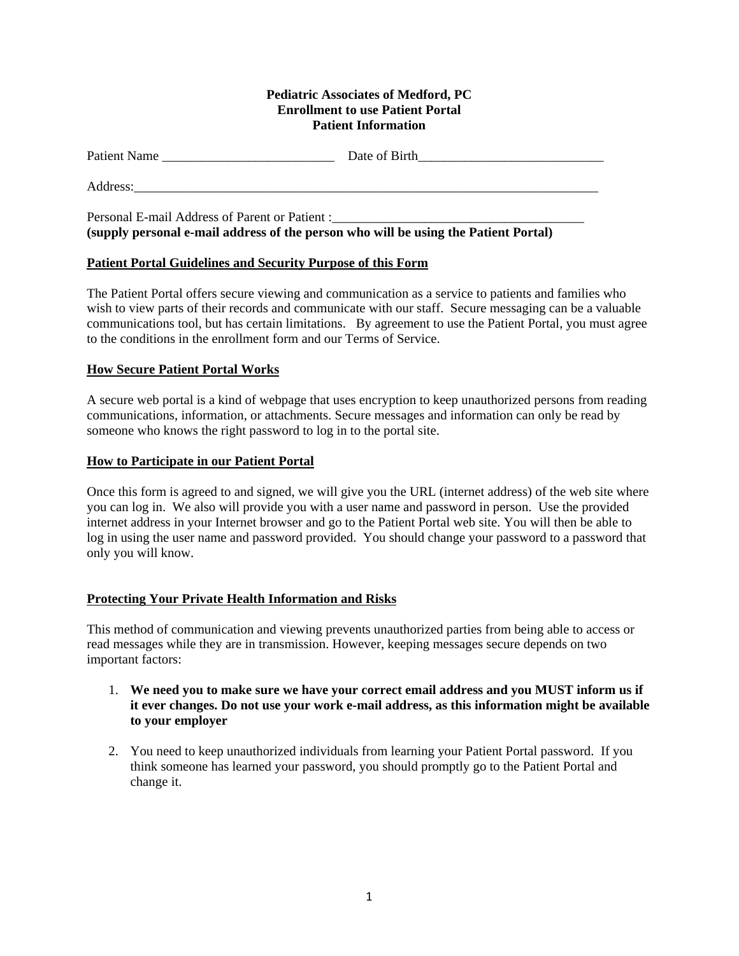#### **Pediatric Associates of Medford, PC Enrollment to use Patient Portal Patient Information**

| Patient Name | Date of Birth |
|--------------|---------------|
| Address:     |               |

Personal E-mail Address of Parent or Patient : **(supply personal e-mail address of the person who will be using the Patient Portal)** 

# **Patient Portal Guidelines and Security Purpose of this Form**

The Patient Portal offers secure viewing and communication as a service to patients and families who wish to view parts of their records and communicate with our staff. Secure messaging can be a valuable communications tool, but has certain limitations. By agreement to use the Patient Portal, you must agree to the conditions in the enrollment form and our Terms of Service.

## **How Secure Patient Portal Works**

A secure web portal is a kind of webpage that uses encryption to keep unauthorized persons from reading communications, information, or attachments. Secure messages and information can only be read by someone who knows the right password to log in to the portal site.

## **How to Participate in our Patient Portal**

Once this form is agreed to and signed, we will give you the URL (internet address) of the web site where you can log in. We also will provide you with a user name and password in person. Use the provided internet address in your Internet browser and go to the Patient Portal web site. You will then be able to log in using the user name and password provided. You should change your password to a password that only you will know.

### **Protecting Your Private Health Information and Risks**

This method of communication and viewing prevents unauthorized parties from being able to access or read messages while they are in transmission. However, keeping messages secure depends on two important factors:

- 1. **We need you to make sure we have your correct email address and you MUST inform us if it ever changes. Do not use your work e-mail address, as this information might be available to your employer**
- 2. You need to keep unauthorized individuals from learning your Patient Portal password. If you think someone has learned your password, you should promptly go to the Patient Portal and change it.